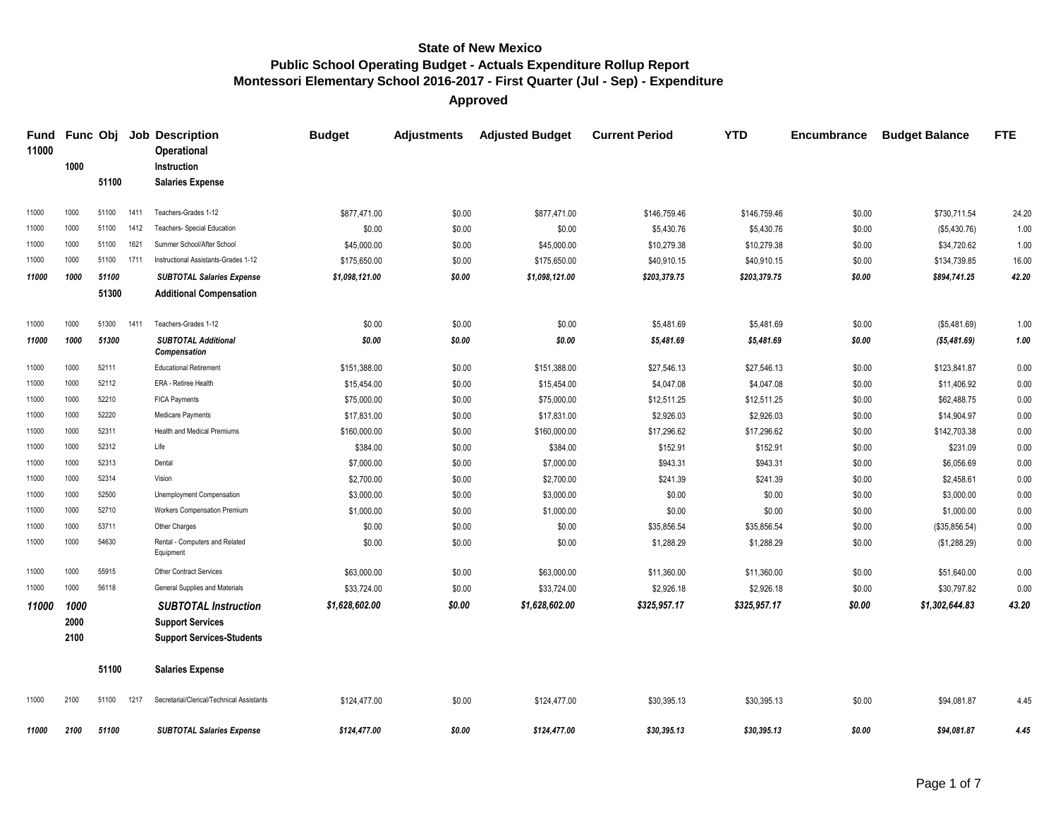**Approved**

| <b>Fund</b><br>11000 |      |       |      | <b>Func Obj Job Description</b><br>Operational | <b>Budget</b>  | <b>Adjustments</b> | <b>Adjusted Budget</b> | <b>Current Period</b> | <b>YTD</b>   | Encumbrance | <b>Budget Balance</b> | <b>FTE</b> |
|----------------------|------|-------|------|------------------------------------------------|----------------|--------------------|------------------------|-----------------------|--------------|-------------|-----------------------|------------|
|                      | 1000 |       |      | Instruction                                    |                |                    |                        |                       |              |             |                       |            |
|                      |      | 51100 |      | <b>Salaries Expense</b>                        |                |                    |                        |                       |              |             |                       |            |
| 11000                | 1000 | 51100 | 1411 | Teachers-Grades 1-12                           | \$877,471.00   | \$0.00             | \$877,471.00           | \$146,759.46          | \$146,759.46 | \$0.00      | \$730,711.54          | 24.20      |
| 11000                | 1000 | 51100 | 1412 | Teachers- Special Education                    | \$0.00         | \$0.00             | \$0.00                 | \$5,430.76            | \$5,430.76   | \$0.00      | (\$5,430.76)          | 1.00       |
| 11000                | 1000 | 51100 | 1621 | Summer School/After School                     | \$45,000.00    | \$0.00             | \$45,000.00            | \$10,279.38           | \$10,279.38  | \$0.00      | \$34,720.62           | 1.00       |
| 11000                | 1000 | 51100 | 1711 | Instructional Assistants-Grades 1-12           | \$175,650.00   | \$0.00             | \$175,650.00           | \$40,910.15           | \$40,910.15  | \$0.00      | \$134,739.85          | 16.00      |
| 11000                | 1000 | 51100 |      | <b>SUBTOTAL Salaries Expense</b>               | \$1,098,121.00 | \$0.00             | \$1,098,121.00         | \$203,379.75          | \$203,379.75 | \$0.00      | \$894,741.25          | 42.20      |
|                      |      | 51300 |      | <b>Additional Compensation</b>                 |                |                    |                        |                       |              |             |                       |            |
| 11000                | 1000 | 51300 | 1411 | Teachers-Grades 1-12                           | \$0.00         | \$0.00             | \$0.00                 | \$5,481.69            | \$5,481.69   | \$0.00      | (\$5,481.69)          | 1.00       |
| 11000                | 1000 | 51300 |      | <b>SUBTOTAL Additional</b><br>Compensation     | \$0.00         | \$0.00             | \$0.00                 | \$5,481.69            | \$5,481.69   | \$0.00      | ( \$5,481.69)         | 1.00       |
| 11000                | 1000 | 52111 |      | <b>Educational Retirement</b>                  | \$151,388.00   | \$0.00             | \$151,388.00           | \$27,546.13           | \$27,546.13  | \$0.00      | \$123,841.87          | 0.00       |
| 11000                | 1000 | 52112 |      | ERA - Retiree Health                           | \$15,454.00    | \$0.00             | \$15,454.00            | \$4,047.08            | \$4,047.08   | \$0.00      | \$11,406.92           | 0.00       |
| 11000                | 1000 | 52210 |      | <b>FICA Payments</b>                           | \$75,000.00    | \$0.00             | \$75,000.00            | \$12,511.25           | \$12,511.25  | \$0.00      | \$62,488.75           | 0.00       |
| 11000                | 1000 | 52220 |      | Medicare Payments                              | \$17,831.00    | \$0.00             | \$17,831.00            | \$2,926.03            | \$2,926.03   | \$0.00      | \$14,904.97           | 0.00       |
| 11000                | 1000 | 52311 |      | <b>Health and Medical Premiums</b>             | \$160,000.00   | \$0.00             | \$160,000.00           | \$17,296.62           | \$17,296.62  | \$0.00      | \$142,703.38          | 0.00       |
| 11000                | 1000 | 52312 |      | Life                                           | \$384.00       | \$0.00             | \$384.00               | \$152.91              | \$152.91     | \$0.00      | \$231.09              | 0.00       |
| 11000                | 1000 | 52313 |      | Dental                                         | \$7,000.00     | \$0.00             | \$7,000.00             | \$943.31              | \$943.31     | \$0.00      | \$6,056.69            | 0.00       |
| 11000                | 1000 | 52314 |      | Vision                                         | \$2,700.00     | \$0.00             | \$2,700.00             | \$241.39              | \$241.39     | \$0.00      | \$2,458.61            | 0.00       |
| 11000                | 1000 | 52500 |      | Unemployment Compensation                      | \$3,000.00     | \$0.00             | \$3,000.00             | \$0.00                | \$0.00       | \$0.00      | \$3,000.00            | 0.00       |
| 11000                | 1000 | 52710 |      | Workers Compensation Premium                   | \$1,000.00     | \$0.00             | \$1,000.00             | \$0.00                | \$0.00       | \$0.00      | \$1,000.00            | 0.00       |
| 11000                | 1000 | 53711 |      | Other Charges                                  | \$0.00         | \$0.00             | \$0.00                 | \$35,856.54           | \$35,856.54  | \$0.00      | (\$35,856.54)         | 0.00       |
| 11000                | 1000 | 54630 |      | Rental - Computers and Related<br>Equipment    | \$0.00         | \$0.00             | \$0.00                 | \$1,288.29            | \$1,288.29   | \$0.00      | (\$1,288.29)          | 0.00       |
| 11000                | 1000 | 55915 |      | <b>Other Contract Services</b>                 | \$63,000.00    | \$0.00             | \$63,000.00            | \$11,360.00           | \$11,360.00  | \$0.00      | \$51,640.00           | 0.00       |
| 11000                | 1000 | 56118 |      | General Supplies and Materials                 | \$33,724.00    | \$0.00             | \$33,724.00            | \$2,926.18            | \$2,926.18   | \$0.00      | \$30,797.82           | 0.00       |
| 11000                | 1000 |       |      | <b>SUBTOTAL Instruction</b>                    | \$1,628,602.00 | \$0.00             | \$1,628,602.00         | \$325,957.17          | \$325,957.17 | \$0.00      | \$1,302,644.83        | 43.20      |
|                      | 2000 |       |      | <b>Support Services</b>                        |                |                    |                        |                       |              |             |                       |            |
|                      | 2100 |       |      | <b>Support Services-Students</b>               |                |                    |                        |                       |              |             |                       |            |
|                      |      | 51100 |      | <b>Salaries Expense</b>                        |                |                    |                        |                       |              |             |                       |            |
| 11000                | 2100 | 51100 | 1217 | Secretarial/Clerical/Technical Assistants      | \$124,477.00   | \$0.00             | \$124,477.00           | \$30,395.13           | \$30,395.13  | \$0.00      | \$94.081.87           | 4.45       |
| 11000                | 2100 | 51100 |      | <b>SUBTOTAL Salaries Expense</b>               | \$124.477.00   | \$0.00             | \$124.477.00           | \$30,395.13           | \$30,395.13  | \$0.00      | \$94.081.87           | 4.45       |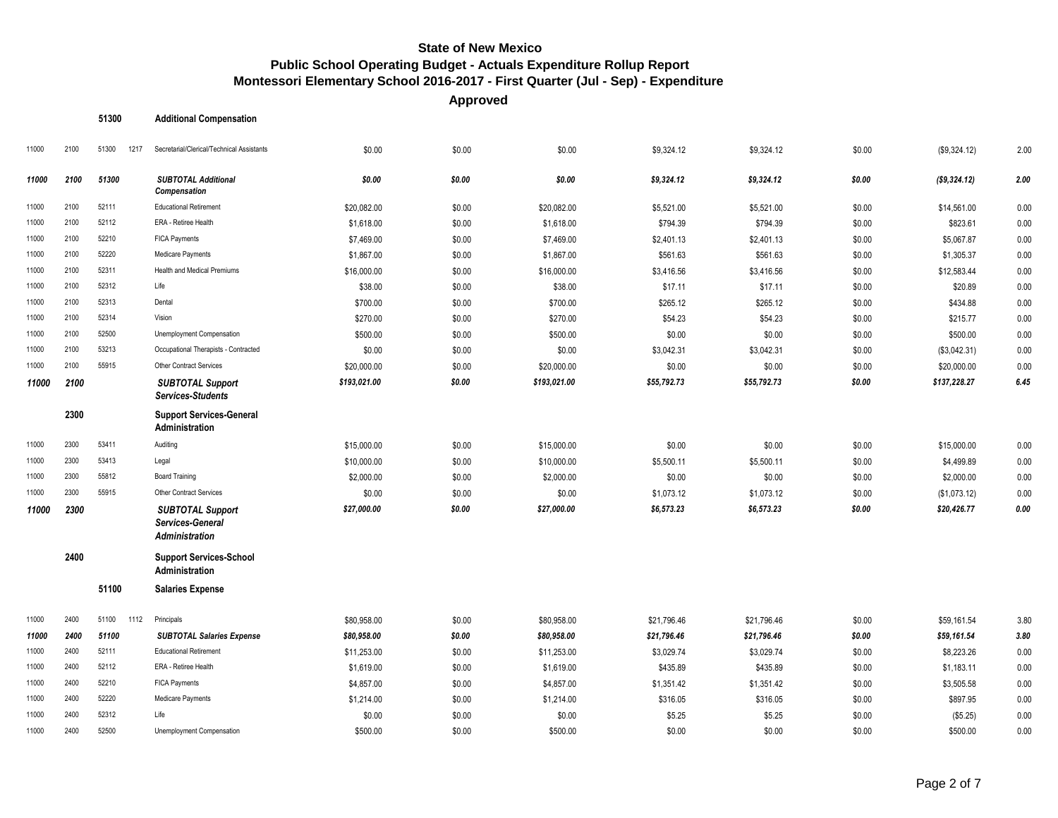**Approved**

| 51300 | <b>Additional Compensation</b> |  |
|-------|--------------------------------|--|
|-------|--------------------------------|--|

| 11000 | 2100 | 51300<br>1217 | Secretarial/Clerical/Technical Assistants                     | \$0.00       | \$0.00 | \$0.00       | \$9,324.12  | \$9,324.12  | \$0.00 | (\$9,324.12) | 2.00 |
|-------|------|---------------|---------------------------------------------------------------|--------------|--------|--------------|-------------|-------------|--------|--------------|------|
| 11000 | 2100 | 51300         | <b>SUBTOTAL Additional</b><br>Compensation                    | \$0.00       | \$0.00 | \$0.00       | \$9,324.12  | \$9,324.12  | \$0.00 | (\$9,324.12) | 2.00 |
| 11000 | 2100 | 52111         | <b>Educational Retirement</b>                                 | \$20,082.00  | \$0.00 | \$20,082.00  | \$5,521.00  | \$5,521.00  | \$0.00 | \$14,561.00  | 0.00 |
| 11000 | 2100 | 52112         | ERA - Retiree Health                                          | \$1,618.00   | \$0.00 | \$1,618.00   | \$794.39    | \$794.39    | \$0.00 | \$823.61     | 0.00 |
| 11000 | 2100 | 52210         | <b>FICA Payments</b>                                          | \$7,469.00   | \$0.00 | \$7,469.00   | \$2,401.13  | \$2,401.13  | \$0.00 | \$5,067.87   | 0.00 |
| 11000 | 2100 | 52220         | Medicare Payments                                             | \$1,867.00   | \$0.00 | \$1,867.00   | \$561.63    | \$561.63    | \$0.00 | \$1,305.37   | 0.00 |
| 11000 | 2100 | 52311         | <b>Health and Medical Premiums</b>                            | \$16,000.00  | \$0.00 | \$16,000.00  | \$3,416.56  | \$3,416.56  | \$0.00 | \$12,583.44  | 0.00 |
| 11000 | 2100 | 52312         | Life                                                          | \$38.00      | \$0.00 | \$38.00      | \$17.11     | \$17.11     | \$0.00 | \$20.89      | 0.00 |
| 11000 | 2100 | 52313         | Dental                                                        | \$700.00     | \$0.00 | \$700.00     | \$265.12    | \$265.12    | \$0.00 | \$434.88     | 0.00 |
| 11000 | 2100 | 52314         | Vision                                                        | \$270.00     | \$0.00 | \$270.00     | \$54.23     | \$54.23     | \$0.00 | \$215.77     | 0.00 |
| 11000 | 2100 | 52500         | Unemployment Compensation                                     | \$500.00     | \$0.00 | \$500.00     | \$0.00      | \$0.00      | \$0.00 | \$500.00     | 0.00 |
| 11000 | 2100 | 53213         | Occupational Therapists - Contracted                          | \$0.00       | \$0.00 | \$0.00       | \$3,042.31  | \$3,042.31  | \$0.00 | (\$3,042.31) | 0.00 |
| 11000 | 2100 | 55915         | <b>Other Contract Services</b>                                | \$20,000.00  | \$0.00 | \$20,000.00  | \$0.00      | \$0.00      | \$0.00 | \$20,000.00  | 0.00 |
| 11000 | 2100 |               | <b>SUBTOTAL Support</b><br><b>Services-Students</b>           | \$193,021.00 | \$0.00 | \$193,021.00 | \$55,792.73 | \$55,792.73 | \$0.00 | \$137,228.27 | 6.45 |
|       | 2300 |               | <b>Support Services-General</b><br>Administration             |              |        |              |             |             |        |              |      |
| 11000 | 2300 | 53411         | Auditing                                                      | \$15,000.00  | \$0.00 | \$15,000.00  | \$0.00      | \$0.00      | \$0.00 | \$15,000.00  | 0.00 |
| 11000 | 2300 | 53413         | Legal                                                         | \$10,000.00  | \$0.00 | \$10,000.00  | \$5,500.11  | \$5,500.11  | \$0.00 | \$4,499.89   | 0.00 |
| 11000 | 2300 | 55812         | <b>Board Training</b>                                         | \$2,000.00   | \$0.00 | \$2,000.00   | \$0.00      | \$0.00      | \$0.00 | \$2,000.00   | 0.00 |
| 11000 | 2300 | 55915         | Other Contract Services                                       | \$0.00       | \$0.00 | \$0.00       | \$1,073.12  | \$1,073.12  | \$0.00 | (\$1,073.12) | 0.00 |
| 11000 | 2300 |               | <b>SUBTOTAL Support</b><br>Services-General<br>Administration | \$27,000.00  | \$0.00 | \$27,000.00  | \$6,573.23  | \$6,573.23  | \$0.00 | \$20,426.77  | 0.00 |
|       | 2400 |               | <b>Support Services-School</b><br>Administration              |              |        |              |             |             |        |              |      |
|       |      | 51100         | <b>Salaries Expense</b>                                       |              |        |              |             |             |        |              |      |
| 11000 | 2400 | 51100<br>1112 | Principals                                                    | \$80,958.00  | \$0.00 | \$80,958.00  | \$21,796.46 | \$21,796.46 | \$0.00 | \$59,161.54  | 3.80 |
| 11000 | 2400 | 51100         | <b>SUBTOTAL Salaries Expense</b>                              | \$80,958.00  | \$0.00 | \$80,958.00  | \$21,796.46 | \$21,796.46 | \$0.00 | \$59,161.54  | 3.80 |
| 11000 | 2400 | 52111         | <b>Educational Retirement</b>                                 | \$11,253.00  | \$0.00 | \$11,253.00  | \$3,029.74  | \$3,029.74  | \$0.00 | \$8,223.26   | 0.00 |
| 11000 | 2400 | 52112         | ERA - Retiree Health                                          | \$1,619.00   | \$0.00 | \$1,619.00   | \$435.89    | \$435.89    | \$0.00 | \$1,183.11   | 0.00 |
| 11000 | 2400 | 52210         | <b>FICA Payments</b>                                          | \$4,857.00   | \$0.00 | \$4,857.00   | \$1,351.42  | \$1,351.42  | \$0.00 | \$3,505.58   | 0.00 |
| 11000 | 2400 | 52220         | Medicare Payments                                             | \$1,214.00   | \$0.00 | \$1,214.00   | \$316.05    | \$316.05    | \$0.00 | \$897.95     | 0.00 |
| 11000 | 2400 | 52312         | Life                                                          | \$0.00       | \$0.00 | \$0.00       | \$5.25      | \$5.25      | \$0.00 | (\$5.25)     | 0.00 |
| 11000 | 2400 | 52500         | Unemployment Compensation                                     | \$500.00     | \$0.00 | \$500.00     | \$0.00      | \$0.00      | \$0.00 | \$500.00     | 0.00 |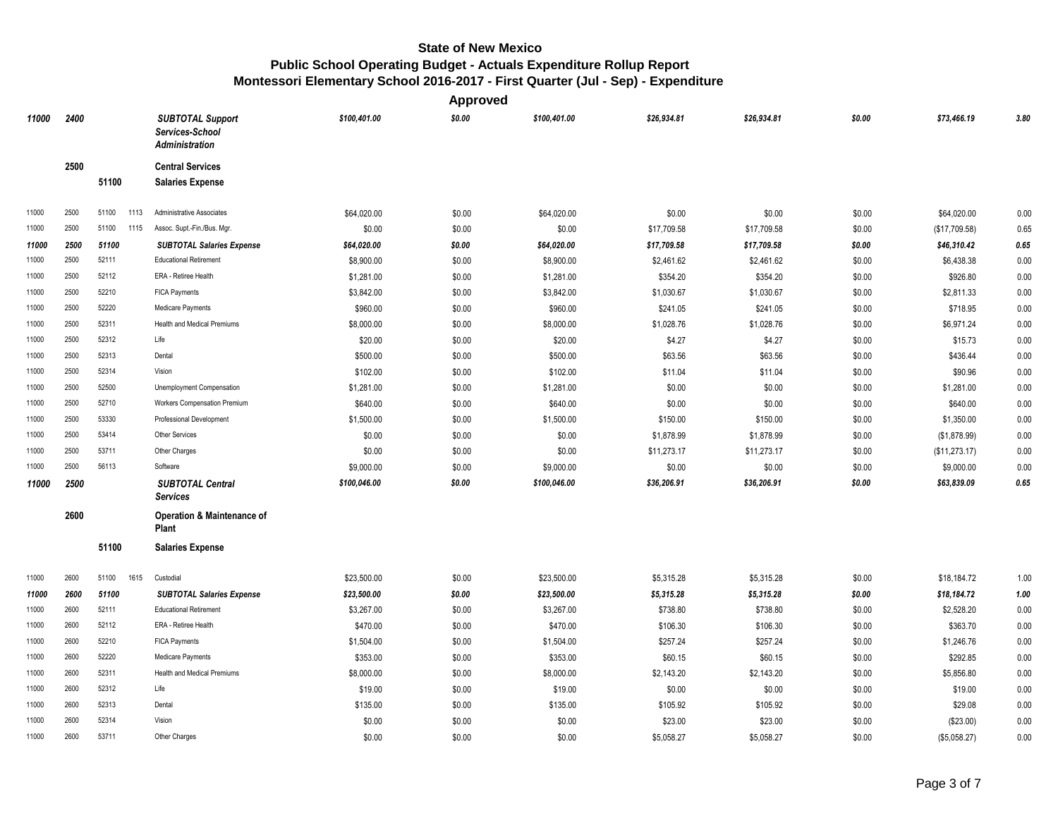|       |      |               |                                                              |              | <b>Approved</b> |              |             |             |        |               |            |
|-------|------|---------------|--------------------------------------------------------------|--------------|-----------------|--------------|-------------|-------------|--------|---------------|------------|
| 11000 | 2400 |               | <b>SUBTOTAL Support</b><br>Services-School<br>Administration | \$100,401.00 | \$0.00          | \$100,401.00 | \$26,934.81 | \$26,934.81 | \$0.00 | \$73,466.19   | 3.80       |
|       | 2500 |               | <b>Central Services</b>                                      |              |                 |              |             |             |        |               |            |
|       |      | 51100         | <b>Salaries Expense</b>                                      |              |                 |              |             |             |        |               |            |
| 11000 | 2500 | 51100<br>1113 | Administrative Associates                                    | \$64,020.00  | \$0.00          | \$64,020.00  | \$0.00      | \$0.00      | \$0.00 | \$64,020.00   | 0.00       |
| 11000 | 2500 | 51100<br>1115 | Assoc. Supt.-Fin./Bus. Mgr.                                  | \$0.00       | \$0.00          | \$0.00       | \$17,709.58 | \$17,709.58 | \$0.00 | (\$17,709.58) | 0.65       |
| 11000 | 2500 | 51100         | <b>SUBTOTAL Salaries Expense</b>                             | \$64,020.00  | \$0.00          | \$64,020.00  | \$17,709.58 | \$17,709.58 | \$0.00 | \$46,310.42   | 0.65       |
| 11000 | 2500 | 52111         | <b>Educational Retirement</b>                                | \$8,900.00   | \$0.00          | \$8,900.00   | \$2,461.62  | \$2,461.62  | \$0.00 | \$6,438.38    | 0.00       |
| 11000 | 2500 | 52112         | ERA - Retiree Health                                         | \$1,281.00   | \$0.00          | \$1,281.00   | \$354.20    | \$354.20    | \$0.00 | \$926.80      | 0.00       |
| 11000 | 2500 | 52210         | <b>FICA Payments</b>                                         | \$3,842.00   | \$0.00          | \$3,842.00   | \$1,030.67  | \$1,030.67  | \$0.00 | \$2,811.33    | 0.00       |
| 11000 | 2500 | 52220         | Medicare Payments                                            | \$960.00     | \$0.00          | \$960.00     | \$241.05    | \$241.05    | \$0.00 | \$718.95      | 0.00       |
| 11000 | 2500 | 52311         | <b>Health and Medical Premiums</b>                           | \$8,000.00   | \$0.00          | \$8,000.00   | \$1,028.76  | \$1,028.76  | \$0.00 | \$6,971.24    | 0.00       |
| 11000 | 2500 | 52312         | Life                                                         | \$20.00      | \$0.00          | \$20.00      | \$4.27      | \$4.27      | \$0.00 | \$15.73       | 0.00       |
| 11000 | 2500 | 52313         | Dental                                                       | \$500.00     | \$0.00          | \$500.00     | \$63.56     | \$63.56     | \$0.00 | \$436.44      | 0.00       |
| 11000 | 2500 | 52314         | Vision                                                       | \$102.00     | \$0.00          | \$102.00     | \$11.04     | \$11.04     | \$0.00 | \$90.96       | 0.00       |
| 11000 | 2500 | 52500         | Unemployment Compensation                                    | \$1,281.00   | \$0.00          | \$1,281.00   | \$0.00      | \$0.00      | \$0.00 | \$1,281.00    | 0.00       |
| 11000 | 2500 | 52710         | Workers Compensation Premium                                 | \$640.00     | \$0.00          | \$640.00     | \$0.00      | \$0.00      | \$0.00 | \$640.00      | 0.00       |
| 11000 | 2500 | 53330         | Professional Development                                     | \$1,500.00   | \$0.00          | \$1,500.00   | \$150.00    | \$150.00    | \$0.00 | \$1,350.00    | 0.00       |
| 11000 | 2500 | 53414         | Other Services                                               | \$0.00       | \$0.00          | \$0.00       | \$1,878.99  | \$1,878.99  | \$0.00 | (\$1,878.99)  | 0.00       |
| 11000 | 2500 | 53711         | Other Charges                                                | \$0.00       | \$0.00          | \$0.00       | \$11,273.17 | \$11,273.17 | \$0.00 | (\$11,273.17) | 0.00       |
| 11000 | 2500 | 56113         | Software                                                     | \$9,000.00   | \$0.00          | \$9,000.00   | \$0.00      | \$0.00      | \$0.00 | \$9,000.00    | 0.00       |
| 11000 | 2500 |               | <b>SUBTOTAL Central</b><br><b>Services</b>                   | \$100,046.00 | \$0.00          | \$100,046.00 | \$36,206.91 | \$36,206.91 | \$0.00 | \$63,839.09   | $\bf 0.65$ |
|       | 2600 |               | <b>Operation &amp; Maintenance of</b><br>Plant               |              |                 |              |             |             |        |               |            |
|       |      | 51100         | <b>Salaries Expense</b>                                      |              |                 |              |             |             |        |               |            |
| 11000 | 2600 | 51100<br>1615 | Custodial                                                    | \$23,500.00  | \$0.00          | \$23,500.00  | \$5,315.28  | \$5,315.28  | \$0.00 | \$18,184.72   | 1.00       |
| 11000 | 2600 | 51100         | <b>SUBTOTAL Salaries Expense</b>                             | \$23,500.00  | \$0.00          | \$23,500.00  | \$5,315.28  | \$5,315.28  | \$0.00 | \$18,184.72   | 1.00       |
| 11000 | 2600 | 52111         | <b>Educational Retirement</b>                                | \$3,267.00   | \$0.00          | \$3,267.00   | \$738.80    | \$738.80    | \$0.00 | \$2,528.20    | 0.00       |
| 11000 | 2600 | 52112         | ERA - Retiree Health                                         | \$470.00     | \$0.00          | \$470.00     | \$106.30    | \$106.30    | \$0.00 | \$363.70      | 0.00       |
| 11000 | 2600 | 52210         | <b>FICA Payments</b>                                         | \$1,504.00   | \$0.00          | \$1,504.00   | \$257.24    | \$257.24    | \$0.00 | \$1,246.76    | 0.00       |
| 11000 | 2600 | 52220         | Medicare Payments                                            | \$353.00     | \$0.00          | \$353.00     | \$60.15     | \$60.15     | \$0.00 | \$292.85      | 0.00       |
| 11000 | 2600 | 52311         | Health and Medical Premiums                                  | \$8,000.00   | \$0.00          | \$8,000.00   | \$2,143.20  | \$2,143.20  | \$0.00 | \$5,856.80    | 0.00       |
| 11000 | 2600 | 52312         | Life                                                         | \$19.00      | \$0.00          | \$19.00      | \$0.00      | \$0.00      | \$0.00 | \$19.00       | 0.00       |
| 11000 | 2600 | 52313         | Dental                                                       | \$135.00     | \$0.00          | \$135.00     | \$105.92    | \$105.92    | \$0.00 | \$29.08       | 0.00       |
| 11000 | 2600 | 52314         | Vision                                                       | \$0.00       | \$0.00          | \$0.00       | \$23.00     | \$23.00     | \$0.00 | (\$23.00)     | 0.00       |
| 11000 | 2600 | 53711         | Other Charges                                                | \$0.00       | \$0.00          | \$0.00       | \$5,058.27  | \$5,058.27  | \$0.00 | (\$5,058.27)  | 0.00       |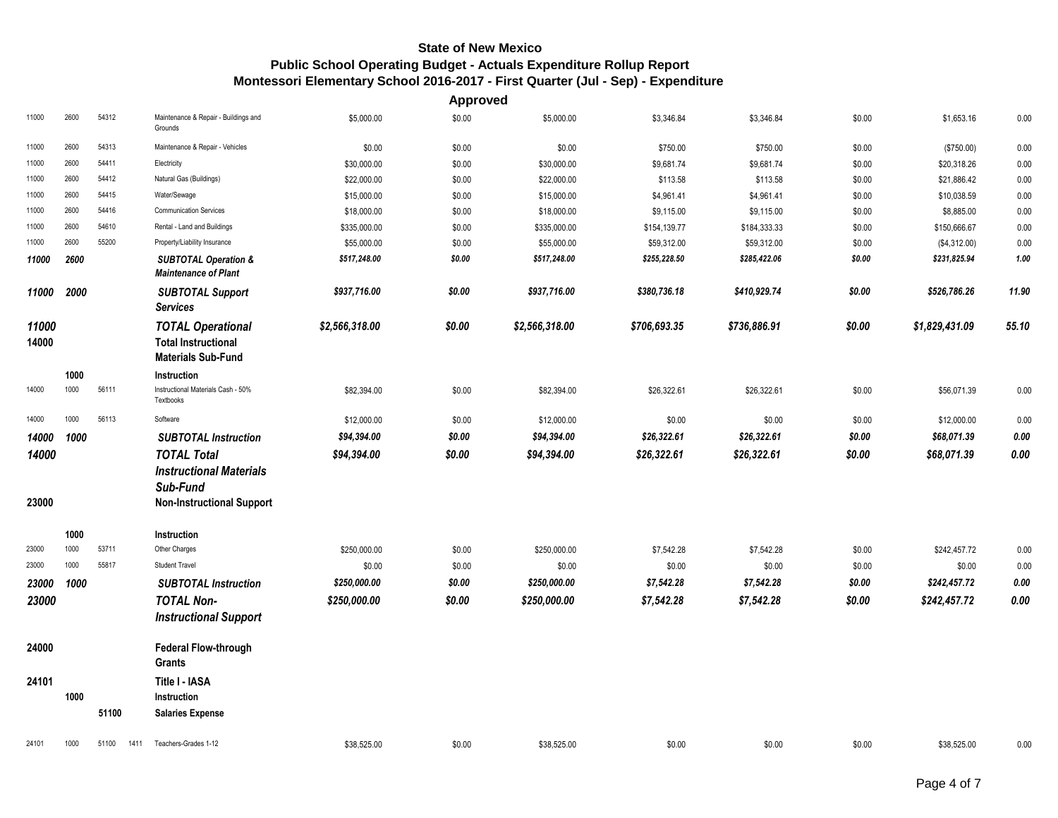|                |              |                |                                                                                     |                | <b>Approved</b> |                |              |              |        |                |       |
|----------------|--------------|----------------|-------------------------------------------------------------------------------------|----------------|-----------------|----------------|--------------|--------------|--------|----------------|-------|
| 11000          | 2600         | 54312          | Maintenance & Repair - Buildings and<br>Grounds                                     | \$5,000.00     | \$0.00          | \$5,000.00     | \$3,346.84   | \$3,346.84   | \$0.00 | \$1,653.16     | 0.00  |
| 11000          | 2600         | 54313          | Maintenance & Repair - Vehicles                                                     | \$0.00         | \$0.00          | \$0.00         | \$750.00     | \$750.00     | \$0.00 | (\$750.00)     | 0.00  |
| 11000          | 2600         | 54411          | Electricity                                                                         | \$30,000.00    | \$0.00          | \$30,000.00    | \$9,681.74   | \$9,681.74   | \$0.00 | \$20,318.26    | 0.00  |
| 11000          | 2600         | 54412          | Natural Gas (Buildings)                                                             | \$22,000.00    | \$0.00          | \$22,000.00    | \$113.58     | \$113.58     | \$0.00 | \$21,886.42    | 0.00  |
| 11000          | 2600         | 54415          | Water/Sewage                                                                        | \$15,000.00    | \$0.00          | \$15,000.00    | \$4,961.41   | \$4,961.41   | \$0.00 | \$10,038.59    | 0.00  |
| 11000          | 2600         | 54416          | <b>Communication Services</b>                                                       | \$18,000.00    | \$0.00          | \$18,000.00    | \$9,115.00   | \$9,115.00   | \$0.00 | \$8,885.00     | 0.00  |
| 11000          | 2600         | 54610          | Rental - Land and Buildings                                                         | \$335,000.00   | \$0.00          | \$335,000.00   | \$154,139.77 | \$184,333.33 | \$0.00 | \$150,666.67   | 0.00  |
| 11000          | 2600         | 55200          | Property/Liability Insurance                                                        | \$55,000.00    | \$0.00          | \$55,000.00    | \$59,312.00  | \$59,312.00  | \$0.00 | (\$4,312.00)   | 0.00  |
| 11000          | 2600         |                | <b>SUBTOTAL Operation &amp;</b><br><b>Maintenance of Plant</b>                      | \$517,248.00   | \$0.00          | \$517,248.00   | \$255,228.50 | \$285,422.06 | \$0.00 | \$231,825.94   | 1.00  |
| 11000          | 2000         |                | <b>SUBTOTAL Support</b><br><b>Services</b>                                          | \$937,716.00   | \$0.00          | \$937,716.00   | \$380,736.18 | \$410,929.74 | \$0.00 | \$526,786.26   | 11.90 |
| 11000<br>14000 |              |                | <b>TOTAL Operational</b><br><b>Total Instructional</b><br><b>Materials Sub-Fund</b> | \$2,566,318.00 | \$0.00          | \$2,566,318.00 | \$706,693.35 | \$736,886.91 | \$0.00 | \$1,829,431.09 | 55.10 |
|                | 1000         |                | Instruction                                                                         |                |                 |                |              |              |        |                |       |
| 14000          | 1000         | 56111          | Instructional Materials Cash - 50%<br>Textbooks                                     | \$82,394.00    | \$0.00          | \$82,394.00    | \$26,322.61  | \$26,322.61  | \$0.00 | \$56,071.39    | 0.00  |
| 14000          | 1000         | 56113          | Software                                                                            | \$12,000.00    | \$0.00          | \$12,000.00    | \$0.00       | \$0.00       | \$0.00 | \$12,000.00    | 0.00  |
| 14000          | 1000         |                | <b>SUBTOTAL Instruction</b>                                                         | \$94,394.00    | \$0.00          | \$94,394.00    | \$26,322.61  | \$26,322.61  | \$0.00 | \$68,071.39    | 0.00  |
| 14000          |              |                | <b>TOTAL Total</b><br><b>Instructional Materials</b>                                | \$94,394.00    | \$0.00          | \$94,394.00    | \$26,322.61  | \$26,322.61  | \$0.00 | \$68,071.39    | 0.00  |
| 23000          |              |                | Sub-Fund<br><b>Non-Instructional Support</b>                                        |                |                 |                |              |              |        |                |       |
|                | 1000         |                | Instruction                                                                         |                |                 |                |              |              |        |                |       |
| 23000          | 1000<br>1000 | 53711<br>55817 | Other Charges<br><b>Student Travel</b>                                              | \$250,000.00   | \$0.00          | \$250,000.00   | \$7,542.28   | \$7,542.28   | \$0.00 | \$242,457.72   | 0.00  |
| 23000          |              |                |                                                                                     | \$0.00         | \$0.00          | \$0.00         | \$0.00       | \$0.00       | \$0.00 | \$0.00         | 0.00  |
| 23000          | 1000         |                | <b>SUBTOTAL Instruction</b>                                                         | \$250,000.00   | \$0.00          | \$250,000.00   | \$7,542.28   | \$7,542.28   | \$0.00 | \$242,457.72   | 0.00  |
| 23000          |              |                | <b>TOTAL Non-</b><br><b>Instructional Support</b>                                   | \$250,000.00   | \$0.00          | \$250,000.00   | \$7,542.28   | \$7,542.28   | \$0.00 | \$242,457.72   | 0.00  |
| 24000          |              |                | Federal Flow-through<br>Grants                                                      |                |                 |                |              |              |        |                |       |
| 24101          |              |                | Title I - IASA                                                                      |                |                 |                |              |              |        |                |       |
|                | 1000         |                | Instruction                                                                         |                |                 |                |              |              |        |                |       |
|                |              | 51100          | <b>Salaries Expense</b>                                                             |                |                 |                |              |              |        |                |       |
| 24101          | 1000         | 51100<br>1411  | Teachers-Grades 1-12                                                                | \$38,525.00    | \$0.00          | \$38,525.00    | \$0.00       | \$0.00       | \$0.00 | \$38,525.00    | 0.00  |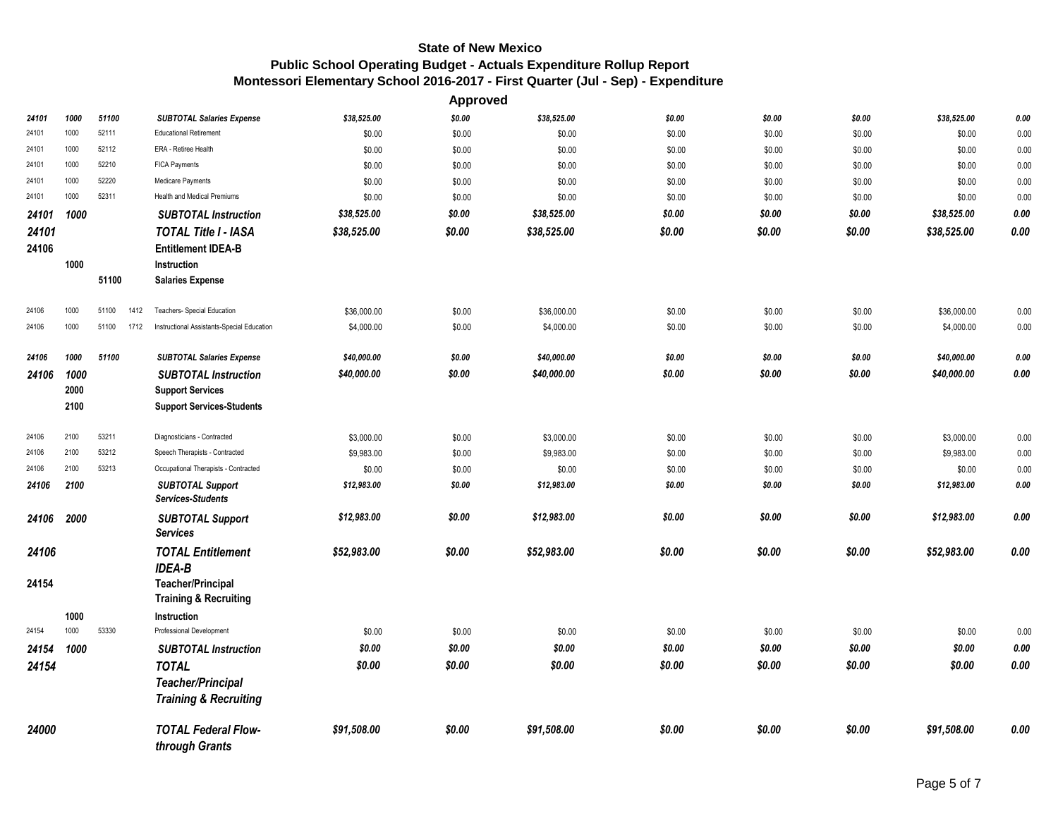|       |      |               |                                              |             | <b>Approved</b> |             |        |        |        |             |          |
|-------|------|---------------|----------------------------------------------|-------------|-----------------|-------------|--------|--------|--------|-------------|----------|
| 24101 | 1000 | 51100         | <b>SUBTOTAL Salaries Expense</b>             | \$38,525.00 | \$0.00          | \$38,525.00 | \$0.00 | \$0.00 | \$0.00 | \$38,525.00 | 0.00     |
| 24101 | 1000 | 52111         | <b>Educational Retirement</b>                | \$0.00      | \$0.00          | \$0.00      | \$0.00 | \$0.00 | \$0.00 | \$0.00      | 0.00     |
| 24101 | 1000 | 52112         | ERA - Retiree Health                         | \$0.00      | \$0.00          | \$0.00      | \$0.00 | \$0.00 | \$0.00 | \$0.00      | 0.00     |
| 24101 | 1000 | 52210         | FICA Payments                                | \$0.00      | \$0.00          | \$0.00      | \$0.00 | \$0.00 | \$0.00 | \$0.00      | 0.00     |
| 24101 | 1000 | 52220         | Medicare Payments                            | \$0.00      | \$0.00          | \$0.00      | \$0.00 | \$0.00 | \$0.00 | \$0.00      | 0.00     |
| 24101 | 1000 | 52311         | <b>Health and Medical Premiums</b>           | \$0.00      | \$0.00          | \$0.00      | \$0.00 | \$0.00 | \$0.00 | \$0.00      | 0.00     |
| 24101 | 1000 |               | <b>SUBTOTAL Instruction</b>                  | \$38,525.00 | \$0.00          | \$38,525.00 | \$0.00 | \$0.00 | \$0.00 | \$38,525.00 | 0.00     |
| 24101 |      |               | <b>TOTAL Title I - IASA</b>                  | \$38,525.00 | \$0.00          | \$38,525.00 | \$0.00 | \$0.00 | \$0.00 | \$38,525.00 | 0.00     |
| 24106 |      |               | <b>Entitlement IDEA-B</b>                    |             |                 |             |        |        |        |             |          |
|       | 1000 |               | Instruction                                  |             |                 |             |        |        |        |             |          |
|       |      | 51100         | <b>Salaries Expense</b>                      |             |                 |             |        |        |        |             |          |
| 24106 | 1000 | 51100<br>1412 | Teachers- Special Education                  | \$36,000.00 | \$0.00          | \$36,000.00 | \$0.00 | \$0.00 | \$0.00 | \$36,000.00 | 0.00     |
| 24106 | 1000 | 51100<br>1712 | Instructional Assistants-Special Education   | \$4,000.00  | \$0.00          | \$4,000.00  | \$0.00 | \$0.00 | \$0.00 | \$4,000.00  | 0.00     |
| 24106 | 1000 | 51100         | <b>SUBTOTAL Salaries Expense</b>             | \$40,000.00 | \$0.00          | \$40,000.00 | \$0.00 | \$0.00 | \$0.00 | \$40,000.00 | 0.00     |
| 24106 | 1000 |               | <b>SUBTOTAL Instruction</b>                  | \$40,000.00 | \$0.00          | \$40,000.00 | \$0.00 | \$0.00 | \$0.00 | \$40,000.00 | 0.00     |
|       | 2000 |               | <b>Support Services</b>                      |             |                 |             |        |        |        |             |          |
|       | 2100 |               | <b>Support Services-Students</b>             |             |                 |             |        |        |        |             |          |
| 24106 | 2100 | 53211         | Diagnosticians - Contracted                  | \$3,000.00  | \$0.00          | \$3,000.00  | \$0.00 | \$0.00 | \$0.00 | \$3,000.00  | 0.00     |
| 24106 | 2100 | 53212         | Speech Therapists - Contracted               | \$9,983.00  | \$0.00          | \$9,983.00  | \$0.00 | \$0.00 | \$0.00 | \$9,983.00  | 0.00     |
| 24106 | 2100 | 53213         | Occupational Therapists - Contracted         | \$0.00      | \$0.00          | \$0.00      | \$0.00 | \$0.00 | \$0.00 | \$0.00      | 0.00     |
| 24106 | 2100 |               | <b>SUBTOTAL Support</b><br>Services-Students | \$12,983.00 | \$0.00          | \$12,983.00 | \$0.00 | \$0.00 | \$0.00 | \$12,983.00 | $0.00\,$ |
| 24106 | 2000 |               | <b>SUBTOTAL Support</b>                      | \$12,983.00 | \$0.00          | \$12,983.00 | \$0.00 | \$0.00 | \$0.00 | \$12,983.00 | 0.00     |
|       |      |               | <b>Services</b>                              |             |                 |             |        |        |        |             |          |
| 24106 |      |               | <b>TOTAL Entitlement</b><br><b>IDEA-B</b>    | \$52,983.00 | \$0.00          | \$52,983.00 | \$0.00 | \$0.00 | \$0.00 | \$52,983.00 | 0.00     |
| 24154 |      |               | <b>Teacher/Principal</b>                     |             |                 |             |        |        |        |             |          |
|       |      |               | <b>Training &amp; Recruiting</b>             |             |                 |             |        |        |        |             |          |
|       | 1000 |               | Instruction                                  |             |                 |             |        |        |        |             |          |
| 24154 | 1000 | 53330         | Professional Development                     | \$0.00      | \$0.00          | \$0.00      | \$0.00 | \$0.00 | \$0.00 | \$0.00      | 0.00     |
| 24154 | 1000 |               | <b>SUBTOTAL Instruction</b>                  | \$0.00      | \$0.00          | \$0.00      | \$0.00 | \$0.00 | \$0.00 | \$0.00      | 0.00     |
| 24154 |      |               | <b>TOTAL</b>                                 | \$0.00      | \$0.00          | \$0.00      | \$0.00 | \$0.00 | \$0.00 | \$0.00      | 0.00     |
|       |      |               | <b>Teacher/Principal</b>                     |             |                 |             |        |        |        |             |          |
|       |      |               | <b>Training &amp; Recruiting</b>             |             |                 |             |        |        |        |             |          |
| 24000 |      |               | <b>TOTAL Federal Flow-</b>                   | \$91,508.00 | \$0.00          | \$91,508.00 | \$0.00 | \$0.00 | \$0.00 | \$91,508.00 | 0.00     |
|       |      |               | through Grants                               |             |                 |             |        |        |        |             |          |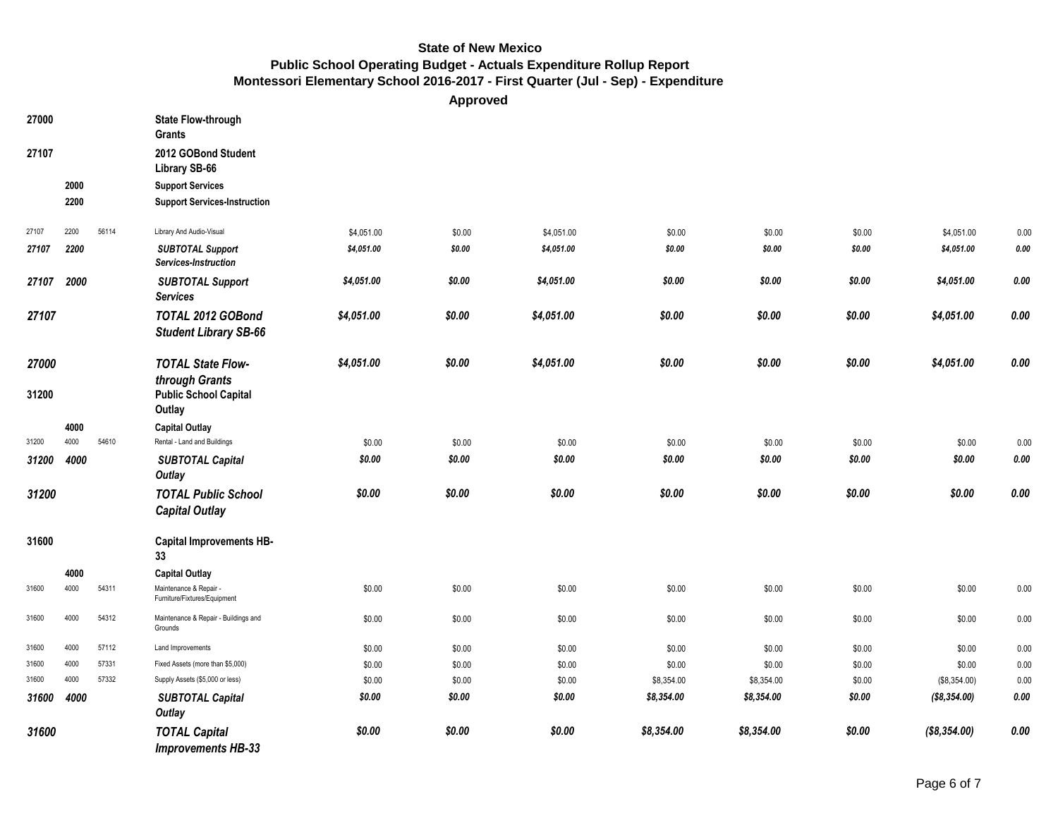**Approved**

| 27000 |      |       | <b>State Flow-through</b><br><b>Grants</b>             |            |        |            |            |            |        |              |             |
|-------|------|-------|--------------------------------------------------------|------------|--------|------------|------------|------------|--------|--------------|-------------|
| 27107 |      |       | 2012 GOBond Student<br>Library SB-66                   |            |        |            |            |            |        |              |             |
|       | 2000 |       | <b>Support Services</b>                                |            |        |            |            |            |        |              |             |
|       | 2200 |       | <b>Support Services-Instruction</b>                    |            |        |            |            |            |        |              |             |
| 27107 | 2200 | 56114 | Library And Audio-Visual                               | \$4,051.00 | \$0.00 | \$4,051.00 | \$0.00     | \$0.00     | \$0.00 | \$4,051.00   | 0.00        |
| 27107 | 2200 |       | <b>SUBTOTAL Support</b><br>Services-Instruction        | \$4,051.00 | \$0.00 | \$4,051.00 | \$0.00     | \$0.00     | \$0.00 | \$4,051.00   | 0.00        |
| 27107 | 2000 |       | <b>SUBTOTAL Support</b><br><b>Services</b>             | \$4,051.00 | \$0.00 | \$4,051.00 | \$0.00     | \$0.00     | \$0.00 | \$4,051.00   | 0.00        |
| 27107 |      |       | TOTAL 2012 GOBond<br><b>Student Library SB-66</b>      | \$4,051.00 | \$0.00 | \$4,051.00 | \$0.00     | \$0.00     | \$0.00 | \$4,051.00   | $0.00\,$    |
| 27000 |      |       | <b>TOTAL State Flow-</b><br>through Grants             | \$4,051.00 | \$0.00 | \$4,051.00 | \$0.00     | \$0.00     | \$0.00 | \$4,051.00   | 0.00        |
| 31200 |      |       | <b>Public School Capital</b><br>Outlay                 |            |        |            |            |            |        |              |             |
|       | 4000 |       | <b>Capital Outlay</b>                                  |            |        |            |            |            |        |              |             |
| 31200 | 4000 | 54610 | Rental - Land and Buildings                            | \$0.00     | \$0.00 | \$0.00     | \$0.00     | \$0.00     | \$0.00 | \$0.00       | 0.00        |
| 31200 | 4000 |       | <b>SUBTOTAL Capital</b><br>Outlay                      | \$0.00     | \$0.00 | \$0.00     | \$0.00     | \$0.00     | \$0.00 | \$0.00       | 0.00        |
| 31200 |      |       | <b>TOTAL Public School</b><br><b>Capital Outlay</b>    | \$0.00     | \$0.00 | \$0.00     | \$0.00     | \$0.00     | \$0.00 | \$0.00       | $\it{0.00}$ |
| 31600 |      |       | <b>Capital Improvements HB-</b><br>33                  |            |        |            |            |            |        |              |             |
|       | 4000 |       | <b>Capital Outlay</b>                                  |            |        |            |            |            |        |              |             |
| 31600 | 4000 | 54311 | Maintenance & Repair -<br>Furniture/Fixtures/Equipment | \$0.00     | \$0.00 | \$0.00     | \$0.00     | \$0.00     | \$0.00 | \$0.00       | 0.00        |
| 31600 | 4000 | 54312 | Maintenance & Repair - Buildings and<br>Grounds        | \$0.00     | \$0.00 | \$0.00     | \$0.00     | \$0.00     | \$0.00 | \$0.00       | 0.00        |
| 31600 | 4000 | 57112 | Land Improvements                                      | \$0.00     | \$0.00 | \$0.00     | \$0.00     | \$0.00     | \$0.00 | \$0.00       | 0.00        |
| 31600 | 4000 | 57331 | Fixed Assets (more than \$5,000)                       | \$0.00     | \$0.00 | \$0.00     | \$0.00     | \$0.00     | \$0.00 | \$0.00       | 0.00        |
| 31600 | 4000 | 57332 | Supply Assets (\$5,000 or less)                        | \$0.00     | \$0.00 | \$0.00     | \$8,354.00 | \$8,354.00 | \$0.00 | (\$8,354.00) | 0.00        |
| 31600 | 4000 |       | <b>SUBTOTAL Capital</b><br>Outlay                      | \$0.00     | \$0.00 | \$0.00     | \$8,354.00 | \$8,354.00 | \$0.00 | (\$8,354.00) | 0.00        |
| 31600 |      |       | <b>TOTAL Capital</b><br><b>Improvements HB-33</b>      | \$0.00     | \$0.00 | \$0.00     | \$8,354.00 | \$8,354.00 | \$0.00 | (\$8,354.00) | 0.00        |